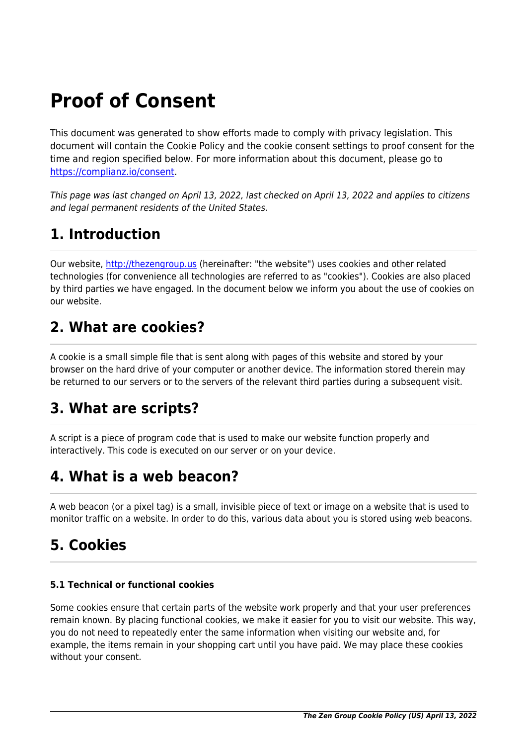# **Proof of Consent**

This document was generated to show efforts made to comply with privacy legislation. This document will contain the Cookie Policy and the cookie consent settings to proof consent for the time and region specified below. For more information about this document, please go to <https://complianz.io/consent>.

This page was last changed on April 13, 2022, last checked on April 13, 2022 and applies to citizens and legal permanent residents of the United States.

## **1. Introduction**

Our website, <http://thezengroup.us> (hereinafter: "the website") uses cookies and other related technologies (for convenience all technologies are referred to as "cookies"). Cookies are also placed by third parties we have engaged. In the document below we inform you about the use of cookies on our website.

## **2. What are cookies?**

A cookie is a small simple file that is sent along with pages of this website and stored by your browser on the hard drive of your computer or another device. The information stored therein may be returned to our servers or to the servers of the relevant third parties during a subsequent visit.

## **3. What are scripts?**

A script is a piece of program code that is used to make our website function properly and interactively. This code is executed on our server or on your device.

## **4. What is a web beacon?**

A web beacon (or a pixel tag) is a small, invisible piece of text or image on a website that is used to monitor traffic on a website. In order to do this, various data about you is stored using web beacons.

## **5. Cookies**

## **5.1 Technical or functional cookies**

Some cookies ensure that certain parts of the website work properly and that your user preferences remain known. By placing functional cookies, we make it easier for you to visit our website. This way, you do not need to repeatedly enter the same information when visiting our website and, for example, the items remain in your shopping cart until you have paid. We may place these cookies without your consent.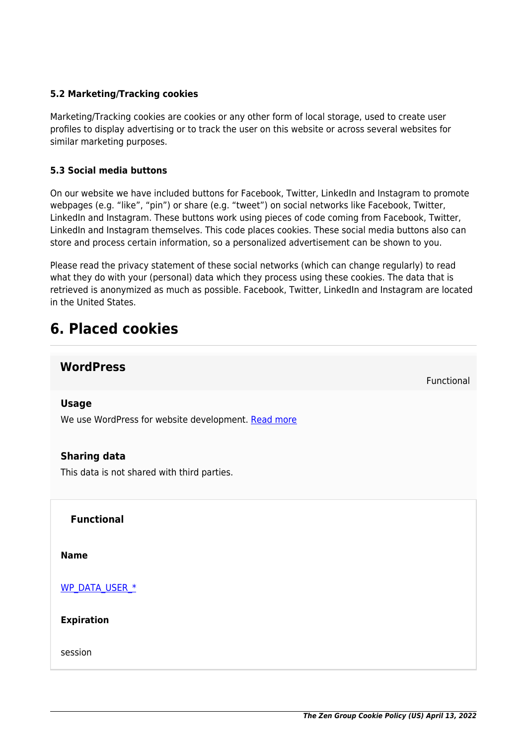#### **5.2 Marketing/Tracking cookies**

Marketing/Tracking cookies are cookies or any other form of local storage, used to create user profiles to display advertising or to track the user on this website or across several websites for similar marketing purposes.

#### **5.3 Social media buttons**

On our website we have included buttons for Facebook, Twitter, LinkedIn and Instagram to promote webpages (e.g. "like", "pin") or share (e.g. "tweet") on social networks like Facebook, Twitter, LinkedIn and Instagram. These buttons work using pieces of code coming from Facebook, Twitter, LinkedIn and Instagram themselves. This code places cookies. These social media buttons also can store and process certain information, so a personalized advertisement can be shown to you.

Please read the privacy statement of these social networks (which can change regularly) to read what they do with your (personal) data which they process using these cookies. The data that is retrieved is anonymized as much as possible. Facebook, Twitter, LinkedIn and Instagram are located in the United States.

## **6. Placed cookies**

## **WordPress**

Functional

#### **Usage**

We use WordPress for website development. [Read more](https://cookiedatabase.org/service/wordpress/)

#### **Sharing data**

This data is not shared with third parties.

**Functional**

**Name**

[WP\\_DATA\\_USER\\_\\*](https://cookiedatabase.org/cookie/wordpress/wp_data_user_-2/)

**Expiration**

session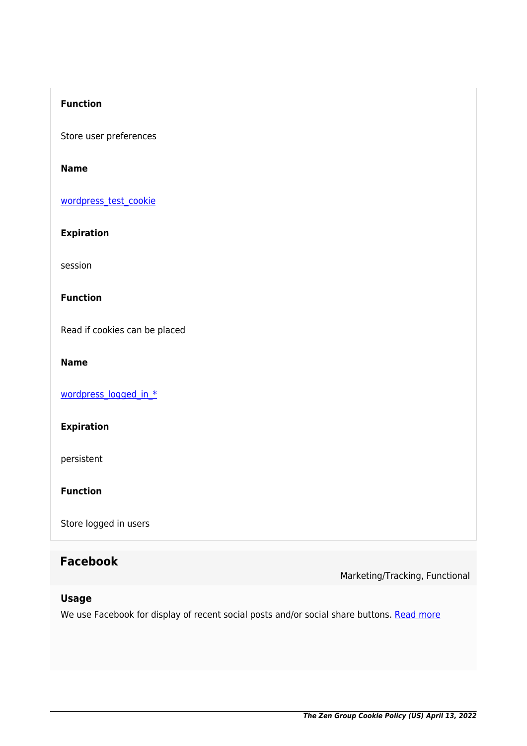## **Function**

Store user preferences

#### **Name**

[wordpress\\_test\\_cookie](https://cookiedatabase.org/cookie/wordpress/wordpress_test_cookie/)

## **Expiration**

session

#### **Function**

Read if cookies can be placed

#### **Name**

[wordpress\\_logged\\_in\\_\\*](https://cookiedatabase.org/cookie/wordpress/wordpress_logged_in_/)

## **Expiration**

persistent

**Function**

Store logged in users

## **Facebook**

Marketing/Tracking, Functional

### **Usage**

We use Facebook for display of recent social posts and/or social share buttons. [Read more](https://cookiedatabase.org/service/facebook/)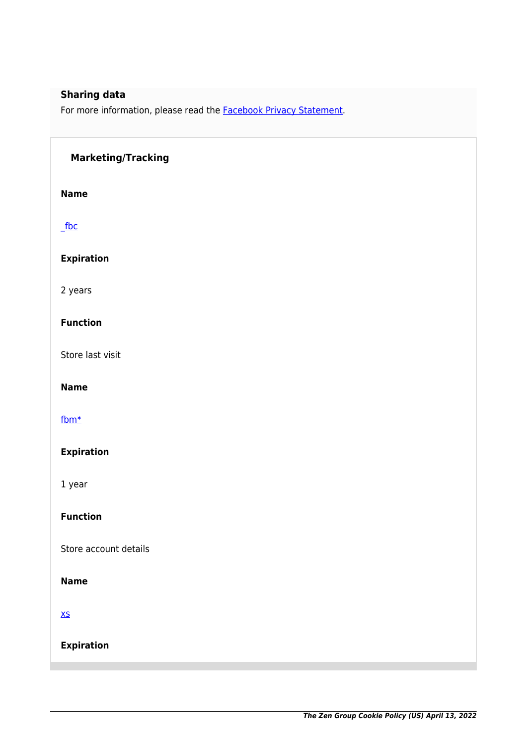## **Sharing data**

For more information, please read the **[Facebook Privacy Statement](https://www.facebook.com/policy/cookies)**.

#### **Marketing/Tracking**

**Name**

[\\_fbc](https://cookiedatabase.org/cookie/facebook/_fbc/)

#### **Expiration**

2 years

#### **Function**

Store last visit

#### **Name**

#### [fbm\\*](https://cookiedatabase.org/cookie/facebook/fbm_/)

#### **Expiration**

1 year

### **Function**

Store account details

#### **Name**

[xs](https://cookiedatabase.org/cookie/facebook/xs/)

**Expiration**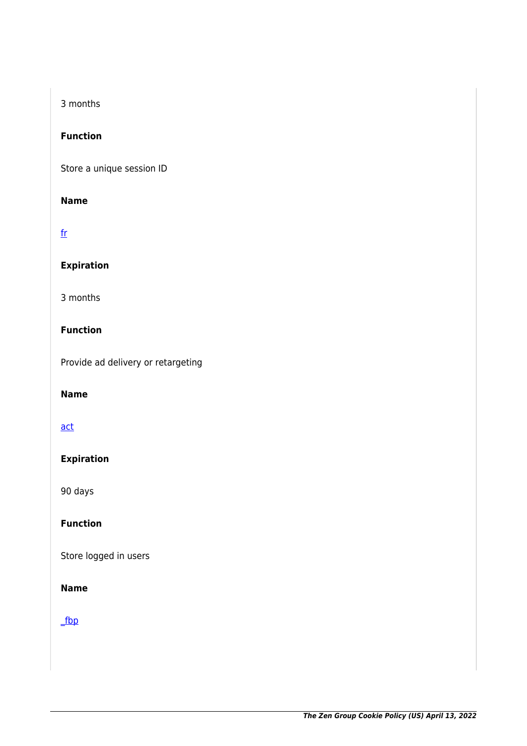## 3 months

#### **Function**

Store a unique session ID

#### **Name**

## [fr](https://cookiedatabase.org/cookie/facebook/fr/)

## **Expiration**

3 months

#### **Function**

Provide ad delivery or retargeting

#### **Name**

#### [act](https://cookiedatabase.org/cookie/facebook/act/)

## **Expiration**

90 days

## **Function**

Store logged in users

### **Name**

## [\\_fbp](https://cookiedatabase.org/cookie/facebook/_fbp/)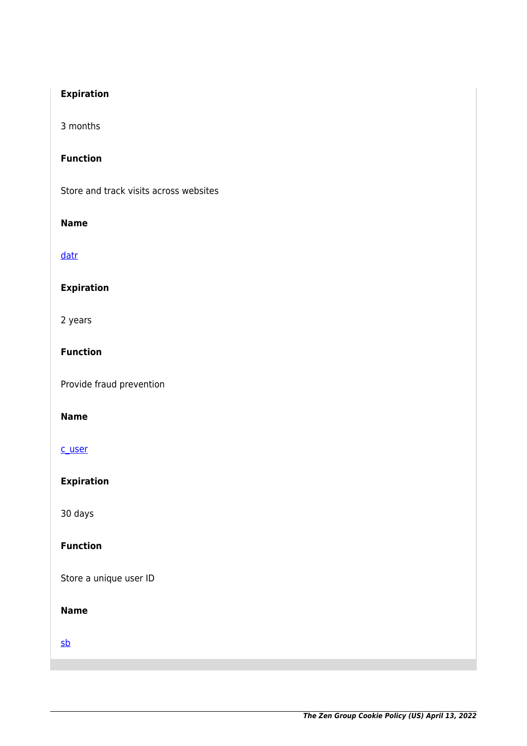## **Expiration**

3 months

#### **Function**

Store and track visits across websites

#### **Name**

[datr](https://cookiedatabase.org/cookie/facebook/datr/)

## **Expiration**

2 years

#### **Function**

Provide fraud prevention

#### **Name**

#### [c\\_user](https://cookiedatabase.org/cookie/facebook/c_user/)

**Expiration**

30 days

### **Function**

Store a unique user ID

### **Name**

[sb](https://cookiedatabase.org/cookie/facebook/sb/)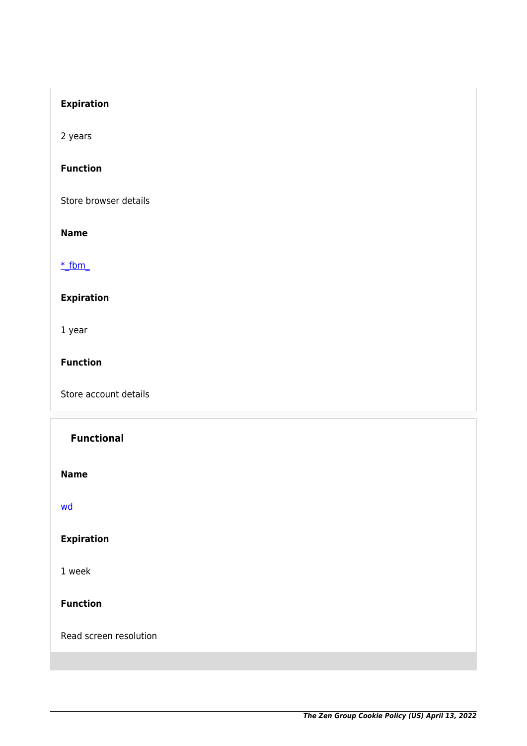## **Expiration**

2 years

#### **Function**

Store browser details

#### **Name**

#### $*$  fbm

## **Expiration**

1 year

#### **Function**

Store account details

## **Functional**

**Name**

[wd](https://cookiedatabase.org/cookie/facebook/wd/)

## **Expiration**

1 week

#### **Function**

Read screen resolution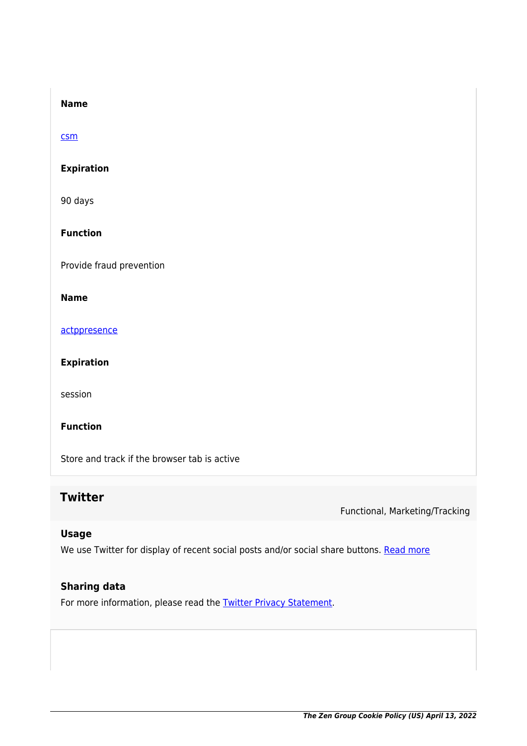#### **Name**

#### [csm](https://cookiedatabase.org/cookie/facebook/csm/)

#### **Expiration**

90 days

### **Function**

Provide fraud prevention

#### **Name**

[actppresence](https://cookiedatabase.org/cookie/facebook/actppresence/)

#### **Expiration**

session

#### **Function**

Store and track if the browser tab is active

## **Twitter**

Functional, Marketing/Tracking

#### **Usage**

We use Twitter for display of recent social posts and/or social share buttons. [Read more](https://cookiedatabase.org/service/twitter/)

#### **Sharing data**

For more information, please read the **[Twitter Privacy Statement](https://twitter.com/en/privacy)**.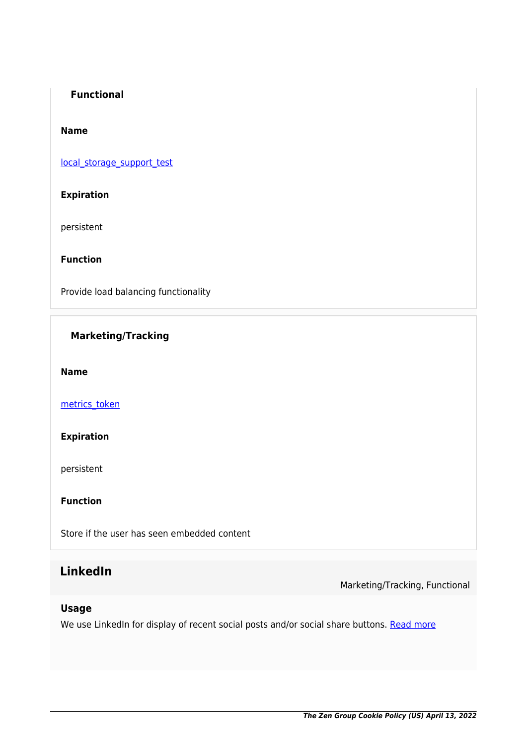#### **Functional**

#### **Name**

[local\\_storage\\_support\\_test](https://cookiedatabase.org/cookie/twitter/local_storage_support_test/)

#### **Expiration**

persistent

**Function**

Provide load balancing functionality

## **Marketing/Tracking**

**Name**

[metrics\\_token](https://cookiedatabase.org/cookie/twitter/metrics_token/)

#### **Expiration**

persistent

**Function**

Store if the user has seen embedded content

## **LinkedIn**

Marketing/Tracking, Functional

#### **Usage**

We use LinkedIn for display of recent social posts and/or social share buttons. [Read more](https://cookiedatabase.org/service/linkedin/)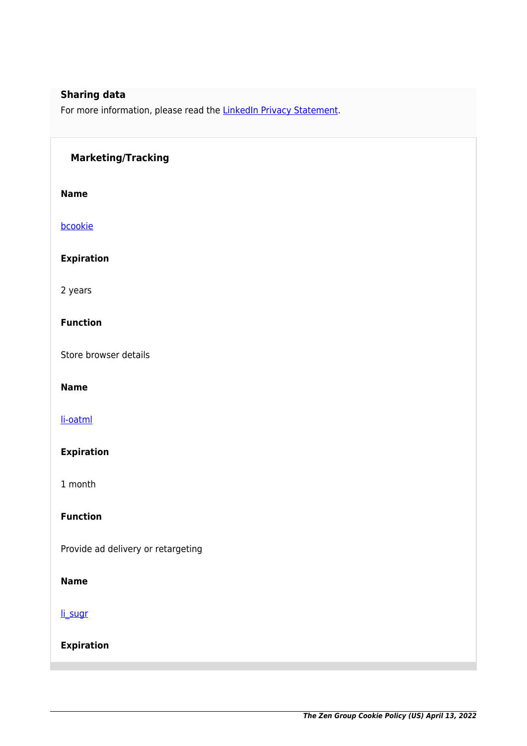## **Sharing data**

For more information, please read the [LinkedIn Privacy Statement.](https://www.linkedin.com/legal/privacy-policy)

#### **Marketing/Tracking**

**Name**

[bcookie](https://cookiedatabase.org/cookie/linkedin/bcookie-2/)

**Expiration**

2 years

#### **Function**

Store browser details

#### **Name**

[li-oatml](https://cookiedatabase.org/cookie/linkedin/li-oatml/)

#### **Expiration**

1 month

## **Function**

Provide ad delivery or retargeting

#### **Name**

[li\\_sugr](https://cookiedatabase.org/cookie/linkedin/li_sugr/)

**Expiration**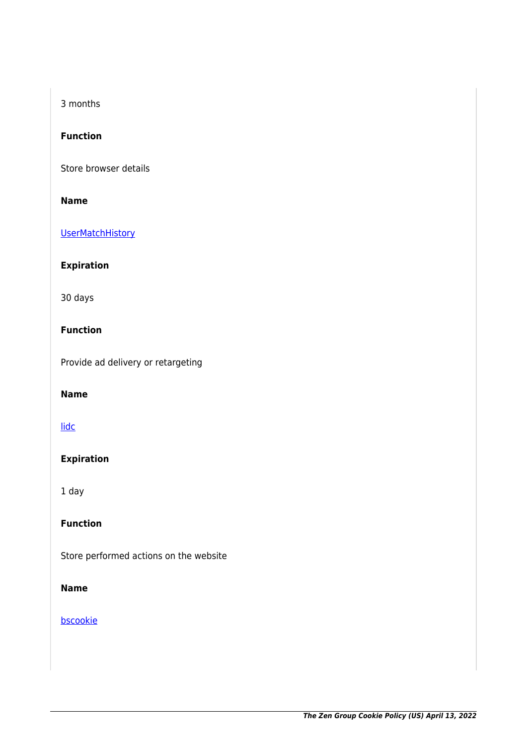### 3 months

#### **Function**

Store browser details

#### **Name**

**[UserMatchHistory](https://cookiedatabase.org/cookie/linkedin/usermatchhistory/)** 

#### **Expiration**

30 days

#### **Function**

Provide ad delivery or retargeting

#### **Name**

#### [lidc](https://cookiedatabase.org/cookie/linkedin/lidc/)

## **Expiration**

1 day

### **Function**

Store performed actions on the website

### **Name**

#### [bscookie](https://cookiedatabase.org/cookie/linkedin/bscookie/)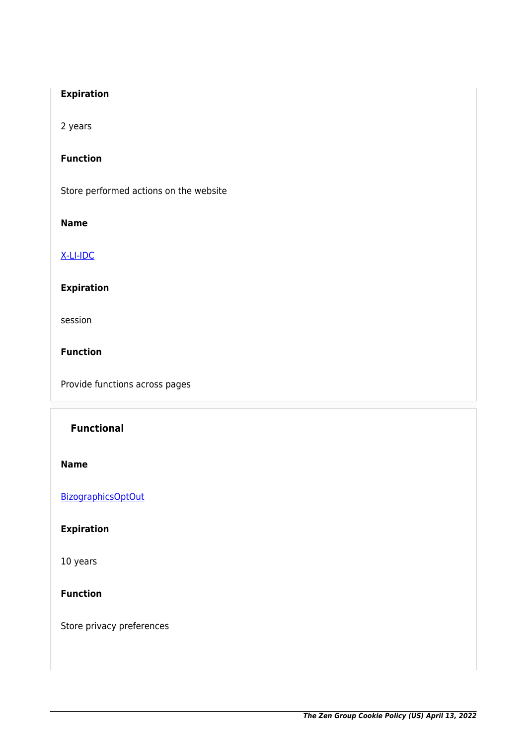### **Expiration**

2 years

#### **Function**

Store performed actions on the website

#### **Name**

#### [X-LI-IDC](https://cookiedatabase.org/cookie/linkedin/x-li-idc/)

## **Expiration**

session

**Function**

Provide functions across pages

## **Functional**

**Name**

**[BizographicsOptOut](https://cookiedatabase.org/cookie/linkedin/bizographicsoptout/)** 

## **Expiration**

10 years

#### **Function**

Store privacy preferences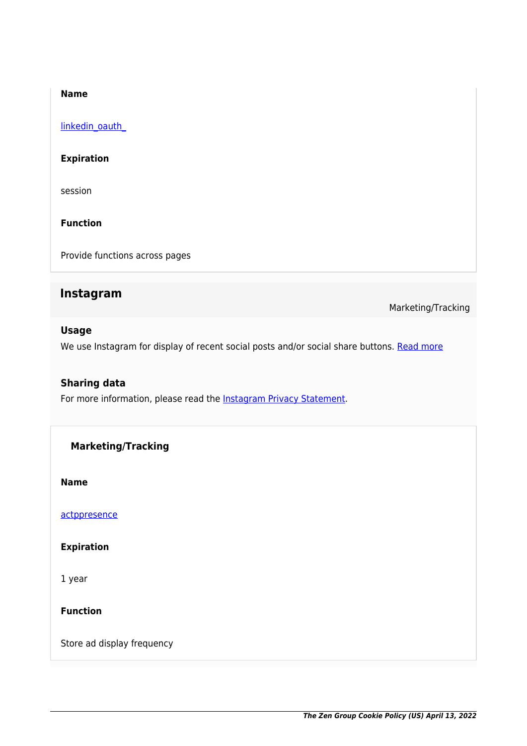#### **Name**

linkedin\_oauth

#### **Expiration**

session

**Function**

Provide functions across pages

## **Instagram**

Marketing/Tracking

#### **Usage**

We use Instagram for display of recent social posts and/or social share buttons. [Read more](https://cookiedatabase.org/service/instagram/)

#### **Sharing data**

For more information, please read the [Instagram Privacy Statement](https://help.instagram.com/519522125107875).

**Marketing/Tracking**

**Name**

[actppresence](https://cookiedatabase.org/cookie/instagram/actppresence-2/)

**Expiration**

1 year

**Function**

Store ad display frequency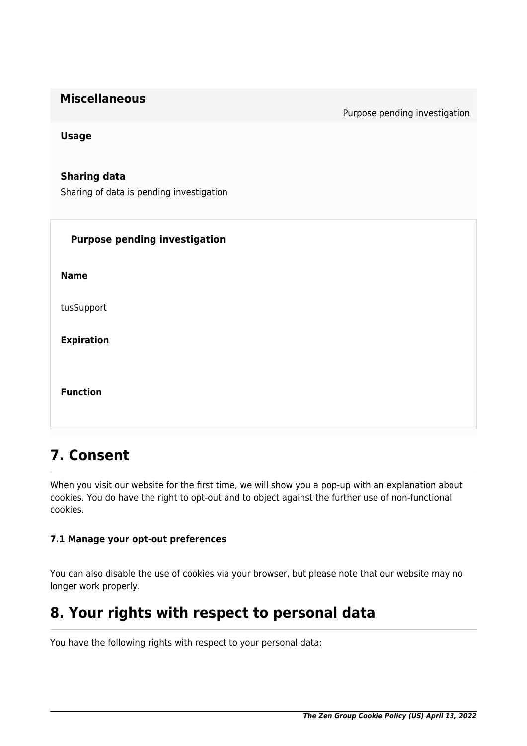| <b>Miscellaneous</b> |
|----------------------|
|----------------------|

Purpose pending investigation

**Usage**

**Sharing data** Sharing of data is pending investigation

| <b>Purpose pending investigation</b> |
|--------------------------------------|
| <b>Name</b>                          |
| tusSupport                           |
| <b>Expiration</b>                    |
| <b>Function</b>                      |

## **7. Consent**

When you visit our website for the first time, we will show you a pop-up with an explanation about cookies. You do have the right to opt-out and to object against the further use of non-functional cookies.

## **7.1 Manage your opt-out preferences**

You can also disable the use of cookies via your browser, but please note that our website may no longer work properly.

## **8. Your rights with respect to personal data**

You have the following rights with respect to your personal data: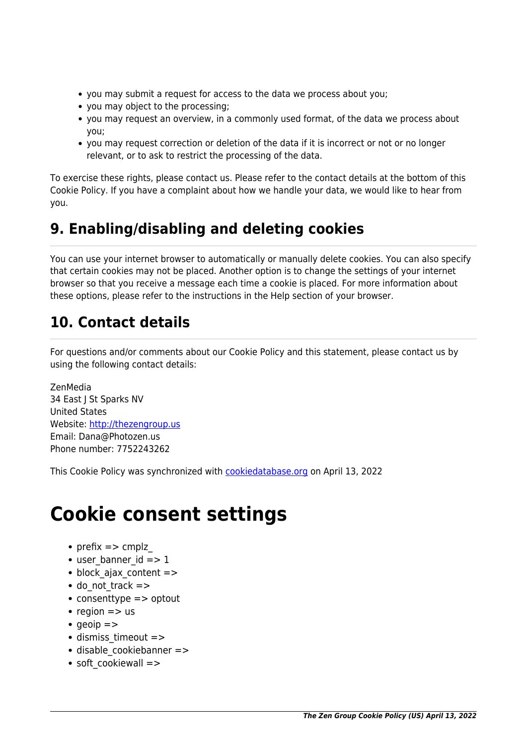- you may submit a request for access to the data we process about you;
- you may object to the processing;
- you may request an overview, in a commonly used format, of the data we process about you;
- you may request correction or deletion of the data if it is incorrect or not or no longer relevant, or to ask to restrict the processing of the data.

To exercise these rights, please contact us. Please refer to the contact details at the bottom of this Cookie Policy. If you have a complaint about how we handle your data, we would like to hear from you.

## **9. Enabling/disabling and deleting cookies**

You can use your internet browser to automatically or manually delete cookies. You can also specify that certain cookies may not be placed. Another option is to change the settings of your internet browser so that you receive a message each time a cookie is placed. For more information about these options, please refer to the instructions in the Help section of your browser.

## **10. Contact details**

For questions and/or comments about our Cookie Policy and this statement, please contact us by using the following contact details:

ZenMedia 34 East I St Sparks NV United States Website:<http://thezengroup.us> Email: Dana@Photozen.us Phone number: 7752243262

This Cookie Policy was synchronized with [cookiedatabase.org](https://cookiedatabase.org/) on April 13, 2022

# **Cookie consent settings**

- prefix  $\Rightarrow$  cmplz
- $\bullet$  user banner id  $\epsilon$  =  $> 1$
- block ajax content =>
- $\bullet$  do not track  $=$  >
- consenttype => optout
- region  $\Rightarrow$  us
- $qeioip \Rightarrow$
- dismiss timeout =>
- disable cookiebanner =>
- soft cookiewall =>